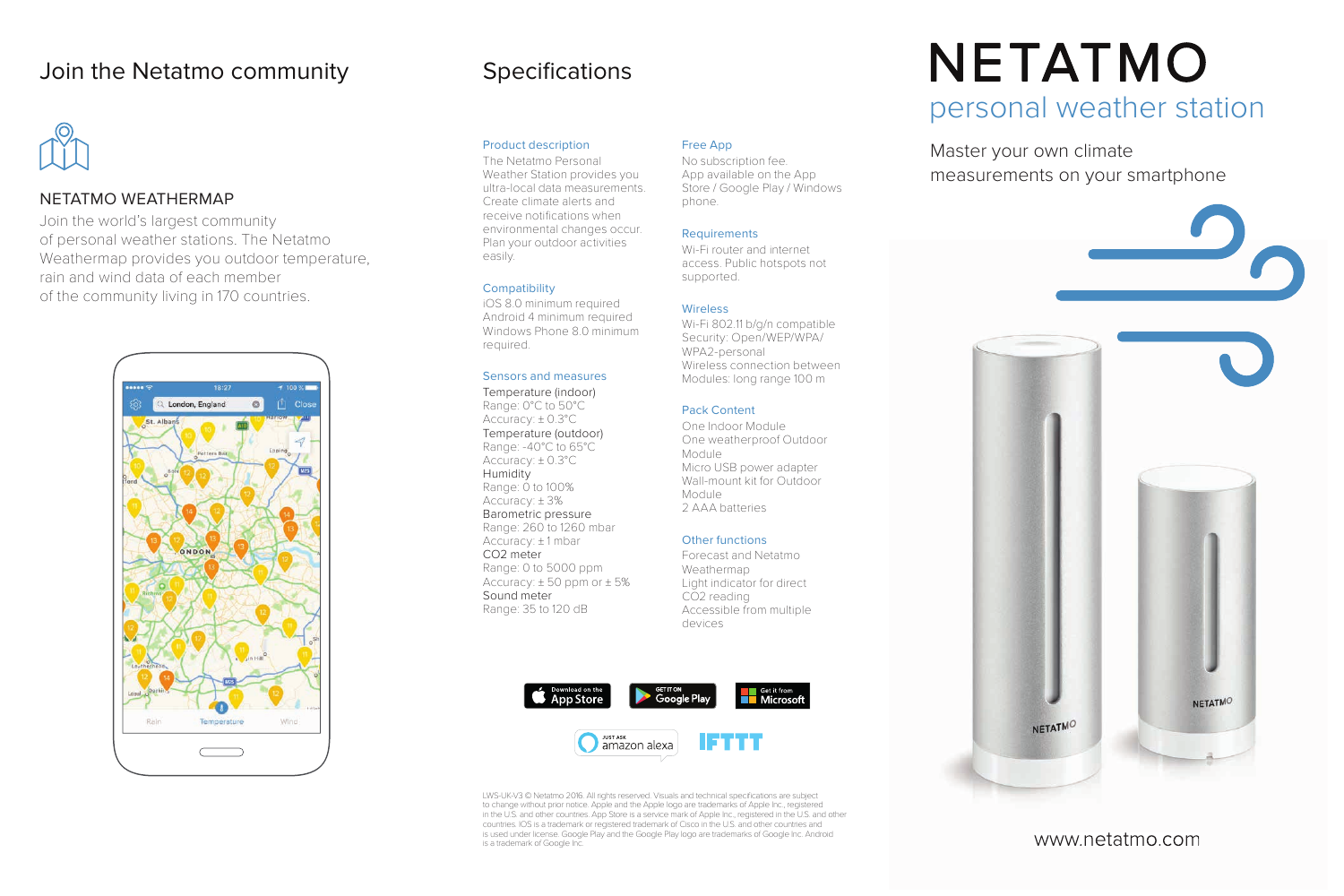### NETATMO WEATHERMAP

Join the world's largest community of personal weather stations. The Netatmo Weathermap provides you outdoor temperature, rain and wind data of each member of the community living in 170 countries.



## **Specifications**

#### Product description

The Netatmo Personal Weather Station provides you ultra-local data measurements. Create climate alerts and receive notifications when environmental changes occur. Plan your outdoor activities easily.

#### **Compatibility**

iOS 8.0 minimum required Android 4 minimum required Windows Phone 8.0 minimum required.

#### Sensors and measures

Temperature (indoor) Range: 0°C to 50°C Accuracy: ± 0.3°C Temperature (outdoor) Range: -40°C to 65°C Accuracy: ± 0.3°C Humidity Range: 0 to 100% Accuracy: ± 3% Barometric pressure Range: 260 to 1260 mbar Accuracy: ± 1 mbar CO2 meter Range: 0 to 5000 ppm Accuracy:  $\pm 50$  ppm or  $\pm 5\%$ Sound meter Range: 35 to 120 dB

#### Free App

No subscription fee. App available on the App Store / Google Play / Windows phone.

#### **Requirements**

Wi-Fi router and internet access. Public hotspots not supported.

#### Wireless

Wi-Fi 802.11 b/g/n compatible Security: Open/WEP/WPA/ WPA2-personal Wireless connection between Modules: long range 100 m

#### Pack Content

One Indoor Module One weatherproof Outdoor Module Micro USB power adapter Wall-mount kit for Outdoor Module 2 AAA batteries

#### Other functions

Forecast and Netatmo Weathermap Light indicator for direct CO<sub>2</sub> reading Accessible from multiple devices



LWS-UK-V3 © Netatmo 2016. All rights reserved. Visuals and technical specifications are subject to change without prior notice. Apple and the Apple logo are trademarks of Apple Inc., registered in the U.S. and other countries. App Store is a service mark of Apple Inc., registered in the U.S. and other countries. IOS is a trademark or registered trademark of Cisco in the U.S. and other countries and is used under license. Google Play and the Google Play logo are trademarks of Google Inc. Android

# **NETATMO** personal weather station

Master your own climate

measurements on your smartphone



### www.netatmo.com